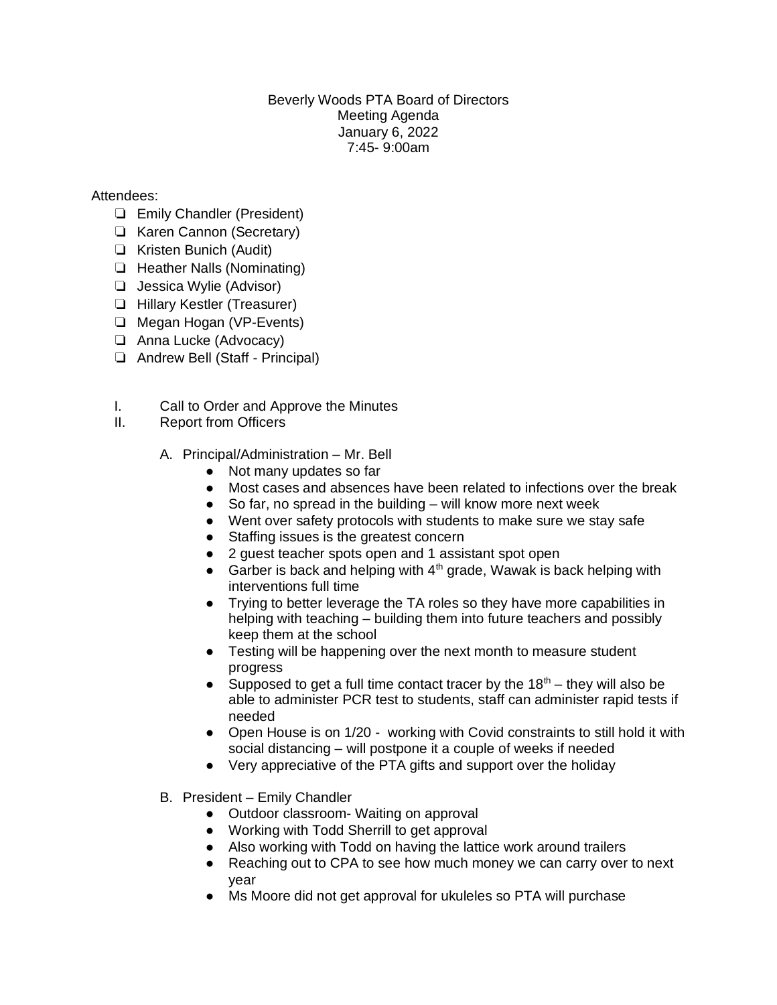## Beverly Woods PTA Board of Directors Meeting Agenda January 6, 2022 7:45- 9:00am

## Attendees:

- ❏ Emily Chandler (President)
- ❏ Karen Cannon (Secretary)
- ❏ Kristen Bunich (Audit)
- ❏ Heather Nalls (Nominating)
- ❏ Jessica Wylie (Advisor)
- ❏ Hillary Kestler (Treasurer)
- ❏ Megan Hogan (VP-Events)
- ❏ Anna Lucke (Advocacy)
- ❏ Andrew Bell (Staff Principal)
- I. Call to Order and Approve the Minutes
- II. Report from Officers
	- A. Principal/Administration Mr. Bell
		- Not many updates so far
		- Most cases and absences have been related to infections over the break
		- $\bullet$  So far, no spread in the building will know more next week
		- Went over safety protocols with students to make sure we stay safe
		- Staffing issues is the greatest concern
		- 2 guest teacher spots open and 1 assistant spot open
		- Garber is back and helping with  $4<sup>th</sup>$  grade, Wawak is back helping with interventions full time
		- Trying to better leverage the TA roles so they have more capabilities in helping with teaching – building them into future teachers and possibly keep them at the school
		- Testing will be happening over the next month to measure student progress
		- Supposed to get a full time contact tracer by the  $18<sup>th</sup>$  they will also be able to administer PCR test to students, staff can administer rapid tests if needed
		- Open House is on 1/20 working with Covid constraints to still hold it with social distancing – will postpone it a couple of weeks if needed
		- Very appreciative of the PTA gifts and support over the holiday
	- B. President Emily Chandler
		- Outdoor classroom- Waiting on approval
		- Working with Todd Sherrill to get approval
		- Also working with Todd on having the lattice work around trailers
		- Reaching out to CPA to see how much money we can carry over to next year
		- Ms Moore did not get approval for ukuleles so PTA will purchase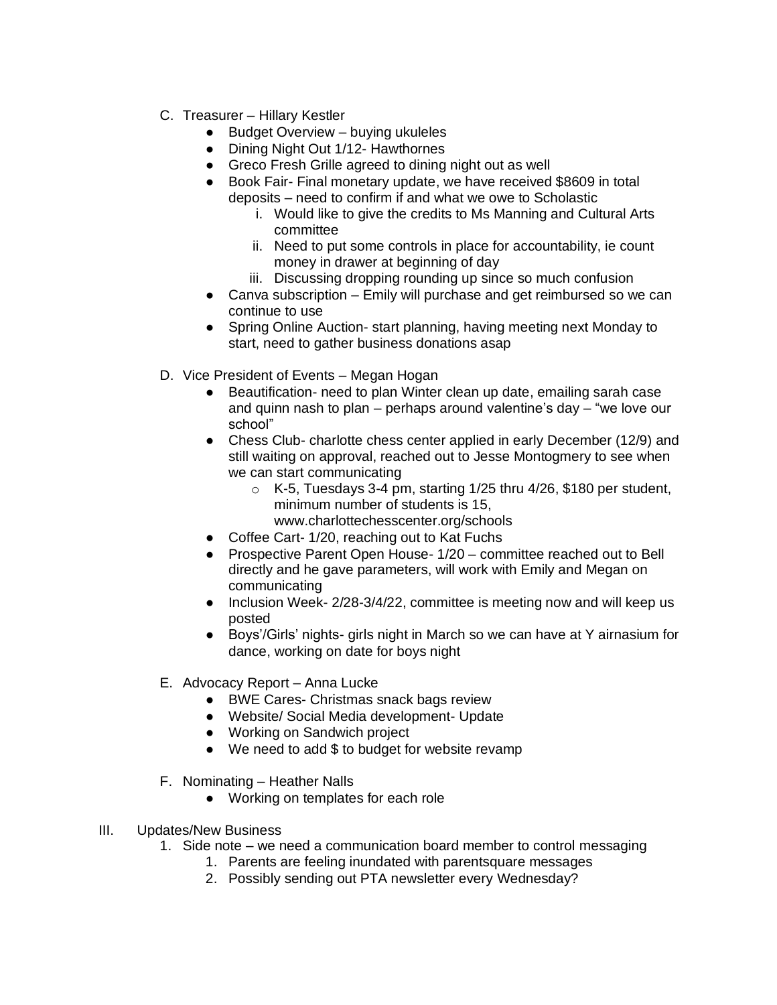- C. Treasurer Hillary Kestler
	- Budget Overview buying ukuleles
	- Dining Night Out 1/12- Hawthornes
	- Greco Fresh Grille agreed to dining night out as well
	- Book Fair- Final monetary update, we have received \$8609 in total deposits – need to confirm if and what we owe to Scholastic
		- i. Would like to give the credits to Ms Manning and Cultural Arts committee
		- ii. Need to put some controls in place for accountability, ie count money in drawer at beginning of day
		- iii. Discussing dropping rounding up since so much confusion
	- Canva subscription Emily will purchase and get reimbursed so we can continue to use
	- Spring Online Auction- start planning, having meeting next Monday to start, need to gather business donations asap
- D. Vice President of Events Megan Hogan
	- Beautification- need to plan Winter clean up date, emailing sarah case and quinn nash to plan – perhaps around valentine's day – "we love our school"
	- Chess Club- charlotte chess center applied in early December (12/9) and still waiting on approval, reached out to Jesse Montogmery to see when we can start communicating
		- $\circ$  K-5, Tuesdays 3-4 pm, starting 1/25 thru 4/26, \$180 per student, minimum number of students is 15, www.charlottechesscenter.org/schools
		-
	- Coffee Cart- 1/20, reaching out to Kat Fuchs
	- Prospective Parent Open House- 1/20 committee reached out to Bell directly and he gave parameters, will work with Emily and Megan on communicating
	- Inclusion Week- 2/28-3/4/22, committee is meeting now and will keep us posted
	- Boys'/Girls' nights- girls night in March so we can have at Y airnasium for dance, working on date for boys night
- E. Advocacy Report Anna Lucke
	- BWE Cares- Christmas snack bags review
	- Website/ Social Media development- Update
	- Working on Sandwich project
	- We need to add \$ to budget for website revamp
- F. Nominating Heather Nalls
	- Working on templates for each role
- III. Updates/New Business
	- 1. Side note we need a communication board member to control messaging
		- 1. Parents are feeling inundated with parentsquare messages
		- 2. Possibly sending out PTA newsletter every Wednesday?